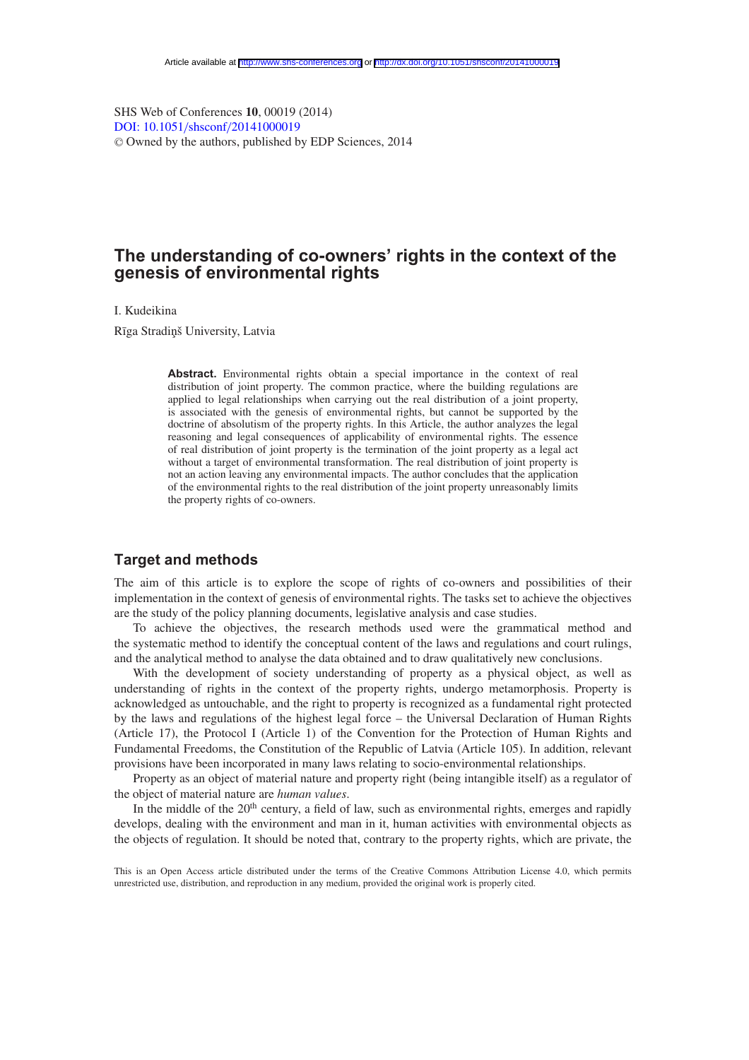SHS Web of Conferences **10**, 00019 (2014) [DOI: 10.1051](http://dx.doi.org/10.1051/shsconf/20141000019)/shsconf/20141000019 <sup>C</sup> Owned by the authors, published by EDP Sciences, 2014

# **The understanding of co-owners' rights in the context of the genesis of environmental rights**

I. Kudeikina

Rīga Stradiņš University, Latvia

**Abstract.** Environmental rights obtain a special importance in the context of real distribution of joint property. The common practice, where the building regulations are applied to legal relationships when carrying out the real distribution of a joint property, is associated with the genesis of environmental rights, but cannot be supported by the doctrine of absolutism of the property rights. In this Article, the author analyzes the legal reasoning and legal consequences of applicability of environmental rights. The essence of real distribution of joint property is the termination of the joint property as a legal act without a target of environmental transformation. The real distribution of joint property is not an action leaving any environmental impacts. The author concludes that the application of the environmental rights to the real distribution of the joint property unreasonably limits the property rights of co-owners.

### **Target and methods**

The aim of this article is to explore the scope of rights of co-owners and possibilities of their implementation in the context of genesis of environmental rights. The tasks set to achieve the objectives are the study of the policy planning documents, legislative analysis and case studies.

To achieve the objectives, the research methods used were the grammatical method and the systematic method to identify the conceptual content of the laws and regulations and court rulings, and the analytical method to analyse the data obtained and to draw qualitatively new conclusions.

With the development of society understanding of property as a physical object, as well as understanding of rights in the context of the property rights, undergo metamorphosis. Property is acknowledged as untouchable, and the right to property is recognized as a fundamental right protected by the laws and regulations of the highest legal force – the Universal Declaration of Human Rights (Article 17), the Protocol I (Article 1) of the Convention for the Protection of Human Rights and Fundamental Freedoms, the Constitution of the Republic of Latvia (Article 105). In addition, relevant provisions have been incorporated in many laws relating to socio-environmental relationships.

Property as an object of material nature and property right (being intangible itself) as a regulator of the object of material nature are *human values*.

In the middle of the  $20<sup>th</sup>$  century, a field of law, such as environmental rights, emerges and rapidly develops, dealing with the environment and man in it, human activities with environmental objects as the objects of regulation. It should be noted that, contrary to the property rights, which are private, the

This is an Open Access article distributed under the terms of the Creative Commons Attribution License 4.0, which permits unrestricted use, distribution, and reproduction in any medium, provided the original work is properly cited.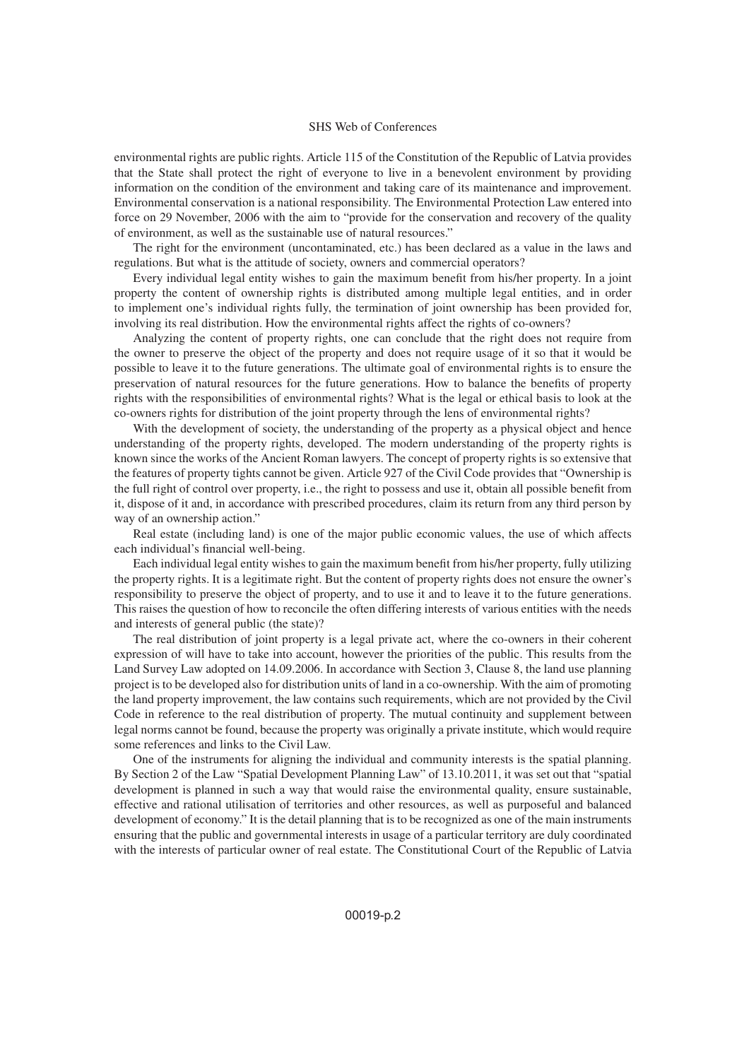### SHS Web of Conferences

environmental rights are public rights. Article 115 of the Constitution of the Republic of Latvia provides that the State shall protect the right of everyone to live in a benevolent environment by providing information on the condition of the environment and taking care of its maintenance and improvement. Environmental conservation is a national responsibility. The Environmental Protection Law entered into force on 29 November, 2006 with the aim to "provide for the conservation and recovery of the quality of environment, as well as the sustainable use of natural resources."

The right for the environment (uncontaminated, etc.) has been declared as a value in the laws and regulations. But what is the attitude of society, owners and commercial operators?

Every individual legal entity wishes to gain the maximum benefit from his/her property. In a joint property the content of ownership rights is distributed among multiple legal entities, and in order to implement one's individual rights fully, the termination of joint ownership has been provided for, involving its real distribution. How the environmental rights affect the rights of co-owners?

Analyzing the content of property rights, one can conclude that the right does not require from the owner to preserve the object of the property and does not require usage of it so that it would be possible to leave it to the future generations. The ultimate goal of environmental rights is to ensure the preservation of natural resources for the future generations. How to balance the benefits of property rights with the responsibilities of environmental rights? What is the legal or ethical basis to look at the co-owners rights for distribution of the joint property through the lens of environmental rights?

With the development of society, the understanding of the property as a physical object and hence understanding of the property rights, developed. The modern understanding of the property rights is known since the works of the Ancient Roman lawyers. The concept of property rights is so extensive that the features of property tights cannot be given. Article 927 of the Civil Code provides that "Ownership is the full right of control over property, i.e., the right to possess and use it, obtain all possible benefit from it, dispose of it and, in accordance with prescribed procedures, claim its return from any third person by way of an ownership action."

Real estate (including land) is one of the major public economic values, the use of which affects each individual's financial well-being.

Each individual legal entity wishes to gain the maximum benefit from his/her property, fully utilizing the property rights. It is a legitimate right. But the content of property rights does not ensure the owner's responsibility to preserve the object of property, and to use it and to leave it to the future generations. This raises the question of how to reconcile the often differing interests of various entities with the needs and interests of general public (the state)?

The real distribution of joint property is a legal private act, where the co-owners in their coherent expression of will have to take into account, however the priorities of the public. This results from the Land Survey Law adopted on 14.09.2006. In accordance with Section 3, Clause 8, the land use planning project is to be developed also for distribution units of land in a co-ownership. With the aim of promoting the land property improvement, the law contains such requirements, which are not provided by the Civil Code in reference to the real distribution of property. The mutual continuity and supplement between legal norms cannot be found, because the property was originally a private institute, which would require some references and links to the Civil Law.

One of the instruments for aligning the individual and community interests is the spatial planning. By Section 2 of the Law "Spatial Development Planning Law" of 13.10.2011, it was set out that "spatial development is planned in such a way that would raise the environmental quality, ensure sustainable, effective and rational utilisation of territories and other resources, as well as purposeful and balanced development of economy." It is the detail planning that is to be recognized as one of the main instruments ensuring that the public and governmental interests in usage of a particular territory are duly coordinated with the interests of particular owner of real estate. The Constitutional Court of the Republic of Latvia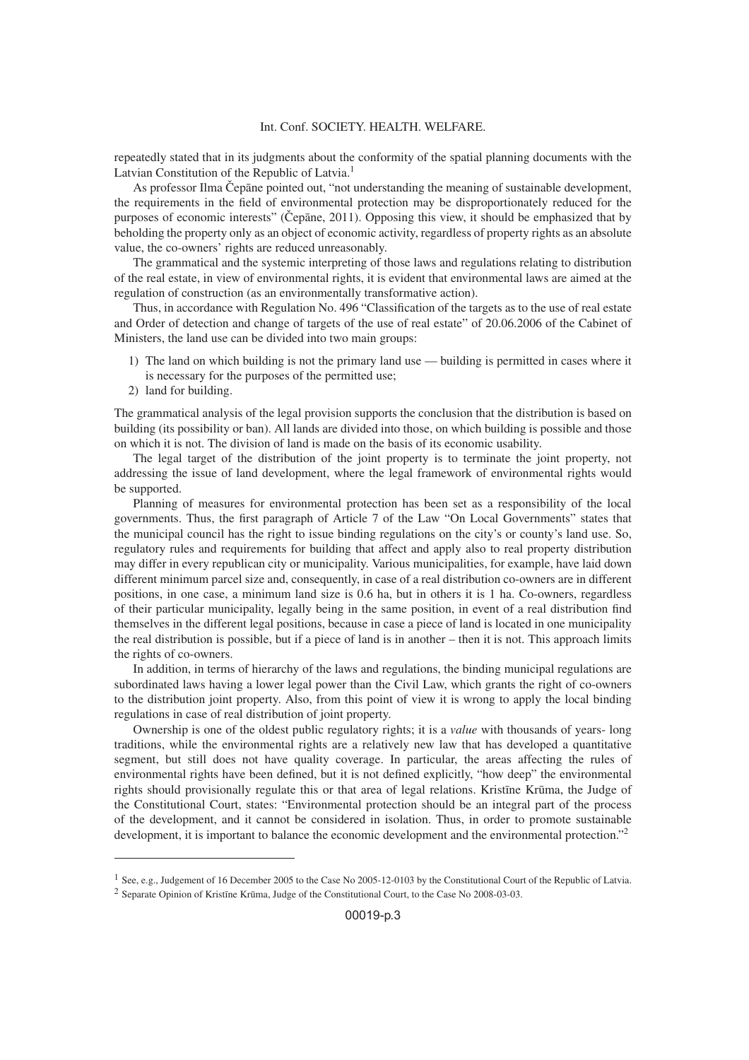#### Int. Conf. SOCIETY. HEALTH. WELFARE.

repeatedly stated that in its judgments about the conformity of the spatial planning documents with the Latvian Constitution of the Republic of Latvia.<sup>1</sup>

As professor Ilma Čepāne pointed out, "not understanding the meaning of sustainable development, the requirements in the field of environmental protection may be disproportionately reduced for the purposes of economic interests" (Cep ane, 2011). Opposing this view, it should be emphasized that by beholding the property only as an object of economic activity, regardless of property rights as an absolute value, the co-owners' rights are reduced unreasonably.

The grammatical and the systemic interpreting of those laws and regulations relating to distribution of the real estate, in view of environmental rights, it is evident that environmental laws are aimed at the regulation of construction (as an environmentally transformative action).

Thus, in accordance with Regulation No. 496 "Classification of the targets as to the use of real estate and Order of detection and change of targets of the use of real estate" of 20.06.2006 of the Cabinet of Ministers, the land use can be divided into two main groups:

- 1) The land on which building is not the primary land use building is permitted in cases where it is necessary for the purposes of the permitted use;
- 2) land for building.

The grammatical analysis of the legal provision supports the conclusion that the distribution is based on building (its possibility or ban). All lands are divided into those, on which building is possible and those on which it is not. The division of land is made on the basis of its economic usability.

The legal target of the distribution of the joint property is to terminate the joint property, not addressing the issue of land development, where the legal framework of environmental rights would be supported.

Planning of measures for environmental protection has been set as a responsibility of the local governments. Thus, the first paragraph of Article 7 of the Law "On Local Governments" states that the municipal council has the right to issue binding regulations on the city's or county's land use. So, regulatory rules and requirements for building that affect and apply also to real property distribution may differ in every republican city or municipality. Various municipalities, for example, have laid down different minimum parcel size and, consequently, in case of a real distribution co-owners are in different positions, in one case, a minimum land size is 0.6 ha, but in others it is 1 ha. Co-owners, regardless of their particular municipality, legally being in the same position, in event of a real distribution find themselves in the different legal positions, because in case a piece of land is located in one municipality the real distribution is possible, but if a piece of land is in another – then it is not. This approach limits the rights of co-owners.

In addition, in terms of hierarchy of the laws and regulations, the binding municipal regulations are subordinated laws having a lower legal power than the Civil Law, which grants the right of co-owners to the distribution joint property. Also, from this point of view it is wrong to apply the local binding regulations in case of real distribution of joint property.

Ownership is one of the oldest public regulatory rights; it is a *value* with thousands of years- long traditions, while the environmental rights are a relatively new law that has developed a quantitative segment, but still does not have quality coverage. In particular, the areas affecting the rules of environmental rights have been defined, but it is not defined explicitly, "how deep" the environmental rights should provisionally regulate this or that area of legal relations. Kristine Krūma, the Judge of the Constitutional Court, states: "Environmental protection should be an integral part of the process of the development, and it cannot be considered in isolation. Thus, in order to promote sustainable development, it is important to balance the economic development and the environmental protection."<sup>2</sup>

<sup>&</sup>lt;sup>1</sup> See, e.g., Judgement of 16 December 2005 to the Case No 2005-12-0103 by the Constitutional Court of the Republic of Latvia.  $2$  Separate Opinion of Kristīne Krūma, Judge of the Constitutional Court, to the Case No 2008-03-03.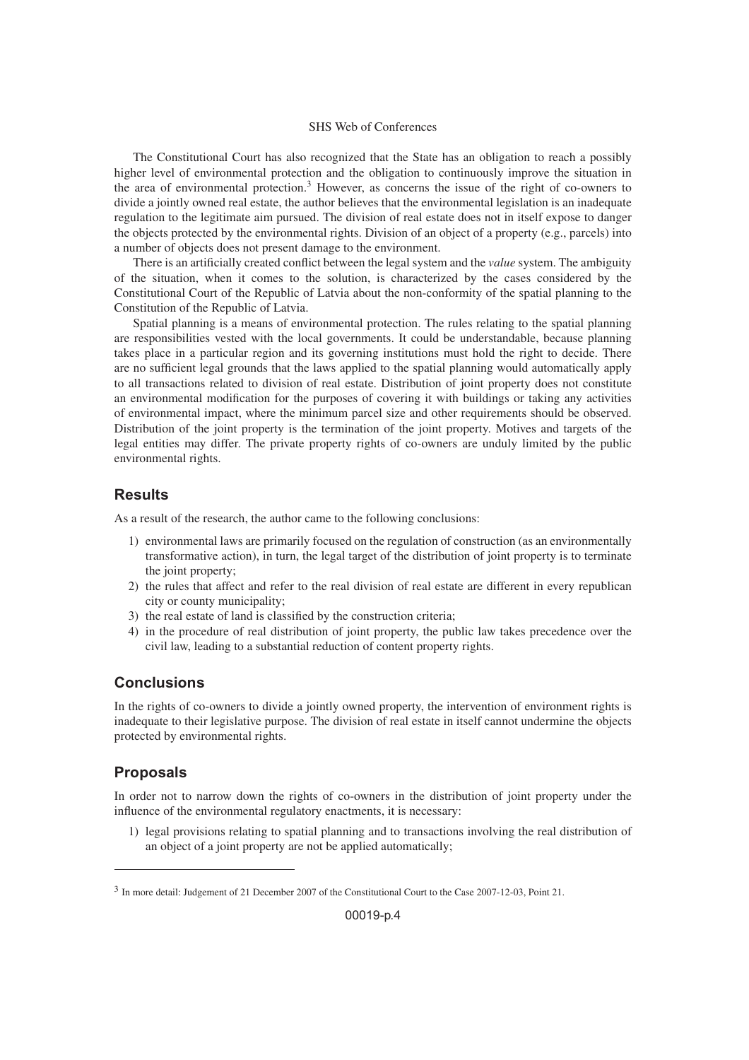### SHS Web of Conferences

The Constitutional Court has also recognized that the State has an obligation to reach a possibly higher level of environmental protection and the obligation to continuously improve the situation in the area of environmental protection.<sup>3</sup> However, as concerns the issue of the right of co-owners to divide a jointly owned real estate, the author believes that the environmental legislation is an inadequate regulation to the legitimate aim pursued. The division of real estate does not in itself expose to danger the objects protected by the environmental rights. Division of an object of a property (e.g., parcels) into a number of objects does not present damage to the environment.

There is an artificially created conflict between the legal system and the *value* system. The ambiguity of the situation, when it comes to the solution, is characterized by the cases considered by the Constitutional Court of the Republic of Latvia about the non-conformity of the spatial planning to the Constitution of the Republic of Latvia.

Spatial planning is a means of environmental protection. The rules relating to the spatial planning are responsibilities vested with the local governments. It could be understandable, because planning takes place in a particular region and its governing institutions must hold the right to decide. There are no sufficient legal grounds that the laws applied to the spatial planning would automatically apply to all transactions related to division of real estate. Distribution of joint property does not constitute an environmental modification for the purposes of covering it with buildings or taking any activities of environmental impact, where the minimum parcel size and other requirements should be observed. Distribution of the joint property is the termination of the joint property. Motives and targets of the legal entities may differ. The private property rights of co-owners are unduly limited by the public environmental rights.

### **Results**

As a result of the research, the author came to the following conclusions:

- 1) environmental laws are primarily focused on the regulation of construction (as an environmentally transformative action), in turn, the legal target of the distribution of joint property is to terminate the joint property;
- 2) the rules that affect and refer to the real division of real estate are different in every republican city or county municipality;
- 3) the real estate of land is classified by the construction criteria;
- 4) in the procedure of real distribution of joint property, the public law takes precedence over the civil law, leading to a substantial reduction of content property rights.

## **Conclusions**

In the rights of co-owners to divide a jointly owned property, the intervention of environment rights is inadequate to their legislative purpose. The division of real estate in itself cannot undermine the objects protected by environmental rights.

# **Proposals**

In order not to narrow down the rights of co-owners in the distribution of joint property under the influence of the environmental regulatory enactments, it is necessary:

1) legal provisions relating to spatial planning and to transactions involving the real distribution of an object of a joint property are not be applied automatically;

<sup>3</sup> In more detail: Judgement of 21 December 2007 of the Constitutional Court to the Case 2007-12-03, Point 21.